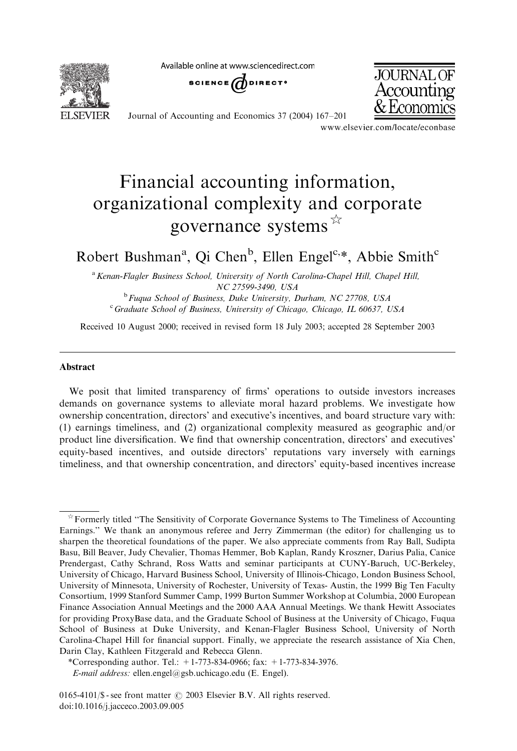Available online at www.sciencedirect.com



SCIENCE  $\overline{d}$  direct<sup>o</sup>



Journal of Accounting and Economics 37 (2004) 167–201

www.elsevier.com/locate/econbase

## Financial accounting information, organizational complexity and corporate governance systems  $\mathbb{R}$

Robert Bushman<sup>a</sup>, Qi Chen<sup>b</sup>, Ellen Engel<sup>c,\*</sup>, Abbie Smith<sup>c</sup>

<sup>a</sup> Kenan-Flagler Business School, University of North Carolina-Chapel Hill, Chapel Hill, NC 27599-3490, USA

 $b$  Fuqua School of Business, Duke University, Durham, NC 27708, USA <sup>c</sup> Graduate School of Business, University of Chicago, Chicago, IL 60637, USA

Received 10 August 2000; received in revised form 18 July 2003; accepted 28 September 2003

## Abstract

We posit that limited transparency of firms' operations to outside investors increases demands on governance systems to alleviate moral hazard problems. We investigate how ownership concentration, directors' and executive's incentives, and board structure vary with: (1) earnings timeliness, and (2) organizational complexity measured as geographic and/or product line diversification. We find that ownership concentration, directors' and executives' equity-based incentives, and outside directors' reputations vary inversely with earnings timeliness, and that ownership concentration, and directors' equity-based incentives increase

 $\hat{\tau}$  Formerly titled "The Sensitivity of Corporate Governance Systems to The Timeliness of Accounting Earnings.'' We thank an anonymous referee and Jerry Zimmerman (the editor) for challenging us to sharpen the theoretical foundations of the paper. We also appreciate comments from Ray Ball, Sudipta Basu, Bill Beaver, Judy Chevalier, Thomas Hemmer, Bob Kaplan, Randy Kroszner, Darius Palia, Canice Prendergast, Cathy Schrand, Ross Watts and seminar participants at CUNY-Baruch, UC-Berkeley, University of Chicago, Harvard Business School, University of Illinois-Chicago, London Business School, University of Minnesota, University of Rochester, University of Texas- Austin, the 1999 Big Ten Faculty Consortium, 1999 Stanford Summer Camp, 1999 Burton Summer Workshop at Columbia, 2000 European Finance Association Annual Meetings and the 2000 AAA Annual Meetings. We thank Hewitt Associates for providing ProxyBase data, and the Graduate School of Business at the University of Chicago, Fuqua School of Business at Duke University, and Kenan-Flagler Business School, University of North Carolina-Chapel Hill for financial support. Finally, we appreciate the research assistance of Xia Chen, Darin Clay, Kathleen Fitzgerald and Rebecca Glenn.

<sup>\*</sup>Corresponding author. Tel.: +1-773-834-0966; fax: +1-773-834-3976.

E-mail address: ellen.engel@gsb.uchicago.edu (E. Engel).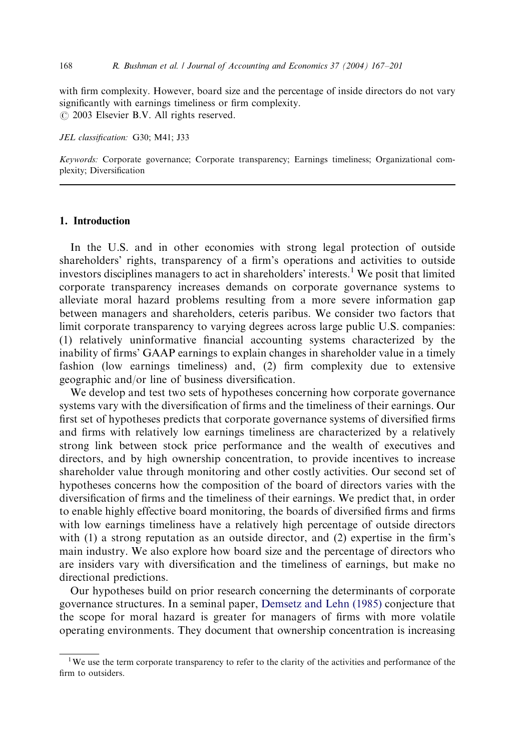with firm complexity. However, board size and the percentage of inside directors do not vary significantly with earnings timeliness or firm complexity.  $\odot$  2003 Elsevier B.V. All rights reserved.

JEL classification: G30; M41; J33

Keywords: Corporate governance; Corporate transparency; Earnings timeliness; Organizational complexity; Diversification

## 1. Introduction

In the U.S. and in other economies with strong legal protection of outside shareholders' rights, transparency of a firm's operations and activities to outside investors disciplines managers to act in shareholders' interests.<sup>1</sup> We posit that limited corporate transparency increases demands on corporate governance systems to alleviate moral hazard problems resulting from a more severe information gap between managers and shareholders, ceteris paribus. We consider two factors that limit corporate transparency to varying degrees across large public U.S. companies: (1) relatively uninformative financial accounting systems characterized by the inability of firms' GAAP earnings to explain changes in shareholder value in a timely fashion (low earnings timeliness) and, (2) firm complexity due to extensive geographic and/or line of business diversification.

We develop and test two sets of hypotheses concerning how corporate governance systems vary with the diversification of firms and the timeliness of their earnings. Our first set of hypotheses predicts that corporate governance systems of diversified firms and firms with relatively low earnings timeliness are characterized by a relatively strong link between stock price performance and the wealth of executives and directors, and by high ownership concentration, to provide incentives to increase shareholder value through monitoring and other costly activities. Our second set of hypotheses concerns how the composition of the board of directors varies with the diversification of firms and the timeliness of their earnings. We predict that, in order to enable highly effective board monitoring, the boards of diversified firms and firms with low earnings timeliness have a relatively high percentage of outside directors with (1) a strong reputation as an outside director, and (2) expertise in the firm's main industry. We also explore how board size and the percentage of directors who are insiders vary with diversification and the timeliness of earnings, but make no directional predictions.

Our hypotheses build on prior research concerning the determinants of corporate governance structures. In a seminal paper, [Demsetz and Lehn \(1985\)](#page--1-0) conjecture that the scope for moral hazard is greater for managers of firms with more volatile operating environments. They document that ownership concentration is increasing

<sup>&</sup>lt;sup>1</sup>We use the term corporate transparency to refer to the clarity of the activities and performance of the firm to outsiders.